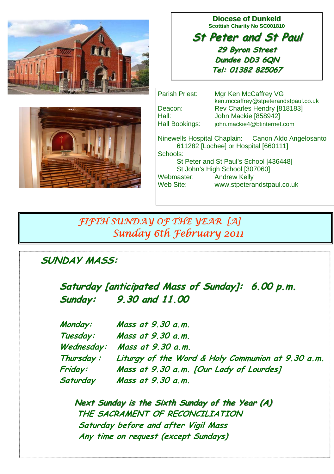

**Diocese of Dunkeld Scottish Charity No SC001810** 

**St Peter and St Paul St Peter and St Paul 29 Byron Street 29 Byron Street Dundee DD3 6QN Tel: 01382 825067**



Parish Priest: Mgr Ken McCaffrey VG ken.mccaffrey@stpeterandstpaul.co.uk Deacon: Rev Charles Hendry [818183] Hall: John Mackie [858942] Hall Bookings: john.mackie4@btinternet.com Ninewells Hospital Chaplain: Canon Aldo Angelosanto 611282 [Lochee] or Hospital [660111] Schools: St Peter and St Paul's School [436448] St John's High School [307060] Webmaster: Andrew Kelly<br>Web Site: www.stnetera www.stpeterandstpaul.co.uk

# *FIFTH SUNDAY OF THE YEAR [A] Sunday 6th February 2011*

# **SUNDAY MASS:**

**Saturday [anticipated Mass of Sunday]: 6.00 p.m. Sunday: Sunday:9.30 and 11.00**

|  | Monday:    | Mass at 9.30 a.m.                                 |
|--|------------|---------------------------------------------------|
|  | Tuesday:   | Mass at 9.30 a.m.                                 |
|  |            | Wednesday: Mass at 9.30 a.m.                      |
|  | Thursday : | Liturgy of the Word & Holy Communion at 9.30 a.m. |
|  | Friday:    | Mass at 9.30 a.m. [Our Lady of Lourdes]           |
|  | Saturday   | Mass at 9.30 a.m.                                 |

**Next Sunday is the Sixth Sunday of the Year (A) THE SACRAMENT OF RECONCILIATION Saturday before and after Vigil Mass Any time on request (except Sundays)**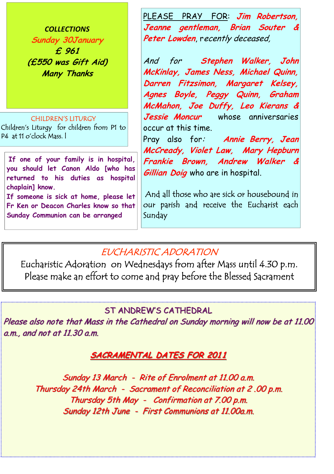*COLLECTIONS* **Sunday 30January £ 961 (£550 was Gift Aid) Many Thanks** 

#### CHILDREN'S LITURGY

Children's Liturgy for children from P1 to P4 at 11 o'clock Mass. l

**If one of your family is in hospital, you should let Canon Aldo [who has returned to his duties as hospital chaplain] know.** 

**If someone is sick at home, please let Fr Ken or Deacon Charles know so that Sunday Communion can be arranged**

PLEASE PRAY FOR: **Jim Robertson, Jeanne gentleman, Brian Souter &**  Peter Lowden, recently deceased,

And for **Stephen Walker, John McKinlay, James Ness, Michael Quinn, Darren Fitzsimon, Margaret Kelsey, Agnes Boyle, Peggy Quinn, Graham McMahon, Joe Duffy, Leo Kierans & Jessie Moncur** whose anniversaries occur at this time.

Pray also for: **Annie Berry, Jean McCready, Violet Law, Mary Hepburn Frankie Brown, Andrew Walker & Gillian Doig** who are in hospital.

 And all those who are sick or housebound in our parish and receive the Eucharist each Sunday

# EUCHARISTIC ADORATION

Eucharistic Adoration on Wednesdays from after Mass until 4.30 p.m. Please make an effort to come and pray before the Blessed Sacrament

### ST ANDREW'S CATHEDRAL

Please also note that Mass in the Cathedral on Sunday morning will now be at 11.00 a.m., and not at  $11.30$  a.m.

### **SACRAMENTAL DATES FOR 2011**

Sunday 13 March - Rite of Enrolment at 11.00 a.m. Thursday 24th March - Sacrament of Reconciliation at 2.00 p.m. Thursday 5th May - Confirmation at  $7.00$  p.m. Sunday 12th June - First Communions at 11.00a.m.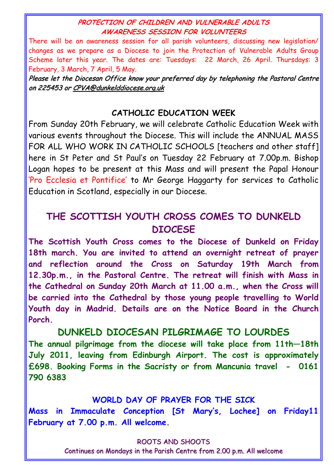#### **PROTECTION OF CHILDREN AND VULNERABLE ADULTS AWARENESS SESSION FOR VOLUNTEERS**

There will be an awareness session for all parish volunteers, discussing new legislation/ changes as we prepare as a Diocese to join the Protection of Vulnerable Adults Group Scheme later this year. The dates are: Tuesdays: 22 March, 26 April. Thursdays: 3 February, 3 March, 7 April, 5 May.

Please let the Diocesan Office know your preferred day by telephoning the Pastoral Centre on 225453 or CPVA@dunkelddiocese.org.uk

### **CATHOLIC EDUCATION WEEK**

From Sunday 20th February, we will celebrate Catholic Education Week with various events throughout the Diocese. This will include the ANNUAL MASS FOR ALL WHO WORK IN CATHOLIC SCHOOLS [teachers and other staff] here in St Peter and St Paul's on Tuesday 22 February at 7.00p.m. Bishop Logan hopes to be present at this Mass and will present the Papal Honour 'Pro Ecclesia et Pontifice' to Mr George Haggarty for services to Catholic Education in Scotland, especially in our Diocese.

# **THE SCOTTISH YOUTH CROSS COMES TO DUNKELD DIOCESE**

**The Scottish Youth Cross comes to the Diocese of Dunkeld on Friday 18th march. You are invited to attend an overnight retreat of prayer and reflection around the Cross on Saturday 19th March from 12.30p.m., in the Pastoral Centre. The retreat will finish with Mass in the Cathedral on Sunday 20th March at 11.00 a.m., when the Cross will be carried into the Cathedral by those young people travelling to World Youth day in Madrid. Details are on the Notice Board in the Church Porch.** 

### **DUNKELD DIOCESAN PILGRIMAGE TO LOURDES**

**The annual pilgrimage from the diocese will take place from 11th—18th July 2011, leaving from Edinburgh Airport. The cost is approximately £698. Booking Forms in the Sacristy or from Mancunia travel - 0161 790 6383** 

#### **WORLD DAY OF PRAYER FOR THE SICK**

**Mass in Immaculate Conception [St Mary's, Lochee] on Friday11 February at 7.00 p.m. All welcome.** 

#### ROOTS AND SHOOTS

Continues on Mondays in the Parish Centre from 2.00 p.m. All welcome